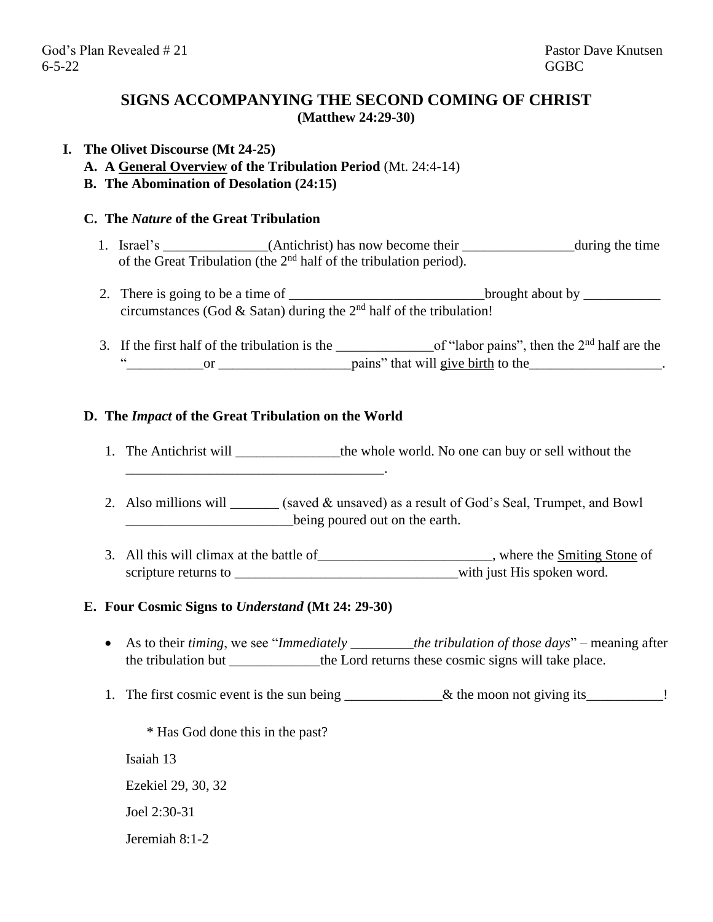# **SIGNS ACCOMPANYING THE SECOND COMING OF CHRIST (Matthew 24:29-30)**

# **I. The Olivet Discourse (Mt 24-25)**

- **A. A General Overview of the Tribulation Period** (Mt. 24:4-14)
- **B. The Abomination of Desolation (24:15)**

### **C. The** *Nature* **of the Great Tribulation**

- 1. Israel's \_\_\_\_\_\_\_\_\_\_\_\_(Antichrist) has now become their \_\_\_\_\_\_\_\_\_\_\_\_\_\_\_during the time of the Great Tribulation (the 2nd half of the tribulation period).
- 2. There is going to be a time of <u>contract the brought about by set</u> circumstances (God & Satan) during the  $2<sup>nd</sup>$  half of the tribulation!
- 3. If the first half of the tribulation is the  $\qquad$  of "labor pains", then the 2<sup>nd</sup> half are the "\_\_\_\_\_\_\_\_\_\_\_or \_\_\_\_\_\_\_\_\_\_\_\_\_\_\_\_\_\_\_pains" that will give birth to the\_\_\_\_\_\_\_\_\_\_\_\_\_\_\_\_\_\_\_.

### **D. The** *Impact* **of the Great Tribulation on the World**

\_\_\_\_\_\_\_\_\_\_\_\_\_\_\_\_\_\_\_\_\_\_\_\_\_\_\_\_\_\_\_\_\_\_\_\_\_.

- 1. The Antichrist will \_\_\_\_\_\_\_\_\_\_\_\_\_\_\_the whole world. No one can buy or sell without the
- 2. Also millions will \_\_\_\_\_\_ (saved & unsaved) as a result of God's Seal, Trumpet, and Bowl being poured out on the earth.
- 3. All this will climax at the battle of \_\_\_\_\_\_\_\_\_\_\_\_\_\_\_\_\_\_\_\_\_\_\_, where the Smiting Stone of scripture returns to \_\_\_\_\_\_\_\_\_\_\_\_\_\_\_\_\_\_\_\_\_\_\_\_\_\_\_\_\_\_\_\_with just His spoken word.

#### **E. Four Cosmic Signs to** *Understand* **(Mt 24: 29-30)**

- As to their *timing*, we see "*Immediately the tribulation of those days*" meaning after the tribulation but \_\_\_\_\_\_\_\_\_\_\_the Lord returns these cosmic signs will take place.
- 1. The first cosmic event is the sun being \_\_\_\_\_\_\_\_\_\_\_\_& the moon not giving its\_\_\_\_\_\_\_\_\_!

\* Has God done this in the past? Isaiah 13 Ezekiel 29, 30, 32 Joel 2:30-31 Jeremiah 8:1-2